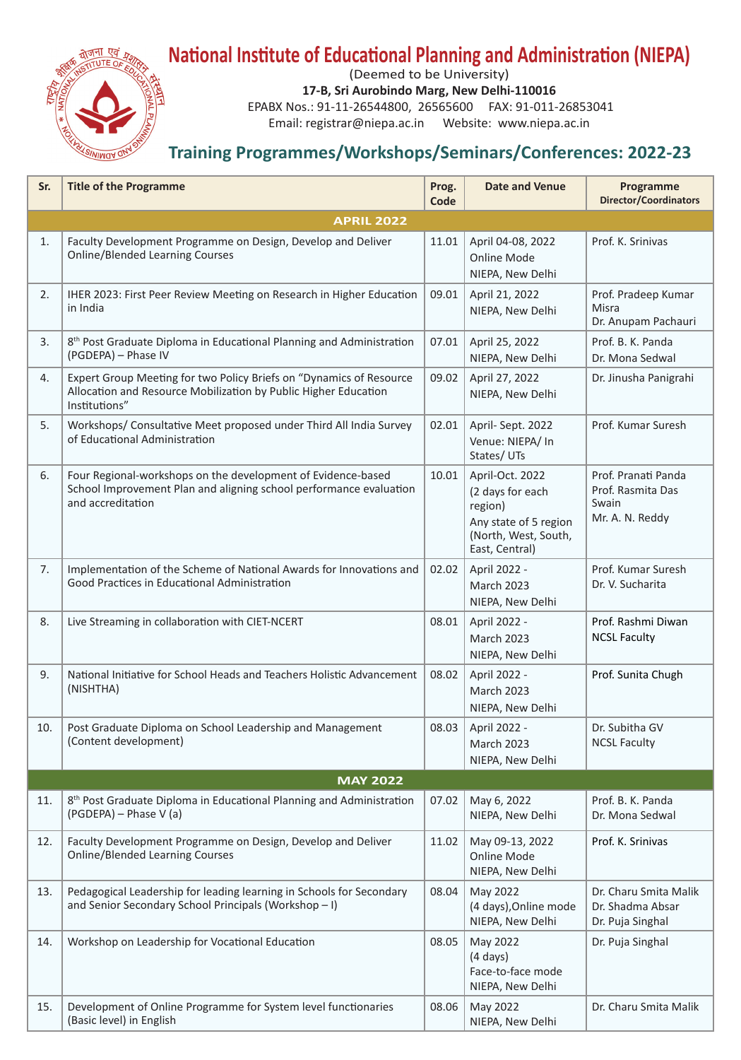

## **National Institute of Educational Planning and Administration (NIEPA)**

(Deemed to be University)

**17-B, Sri Aurobindo Marg, New Delhi-110016**

EPABX Nos.: 91-11-26544800, 26565600 FAX: 91-011-26853041

Email: registrar@niepa.ac.in Website: www.niepa.ac.in

## **Training Programmes/Workshops/Seminars/Conferences: 2022-23**

| Sr. | <b>Title of the Programme</b>                                                                                                                           | Prog.<br>Code | <b>Date and Venue</b>                                                                                             | Programme<br><b>Director/Coordinators</b>                            |  |  |
|-----|---------------------------------------------------------------------------------------------------------------------------------------------------------|---------------|-------------------------------------------------------------------------------------------------------------------|----------------------------------------------------------------------|--|--|
|     | <b>APRIL 2022</b>                                                                                                                                       |               |                                                                                                                   |                                                                      |  |  |
| 1.  | Faculty Development Programme on Design, Develop and Deliver<br><b>Online/Blended Learning Courses</b>                                                  | 11.01         | April 04-08, 2022<br>Online Mode<br>NIEPA, New Delhi                                                              | Prof. K. Srinivas                                                    |  |  |
| 2.  | IHER 2023: First Peer Review Meeting on Research in Higher Education<br>in India                                                                        | 09.01         | April 21, 2022<br>NIEPA, New Delhi                                                                                | Prof. Pradeep Kumar<br>Misra<br>Dr. Anupam Pachauri                  |  |  |
| 3.  | 8 <sup>th</sup> Post Graduate Diploma in Educational Planning and Administration<br>(PGDEPA) - Phase IV                                                 | 07.01         | April 25, 2022<br>NIEPA, New Delhi                                                                                | Prof. B. K. Panda<br>Dr. Mona Sedwal                                 |  |  |
| 4.  | Expert Group Meeting for two Policy Briefs on "Dynamics of Resource<br>Allocation and Resource Mobilization by Public Higher Education<br>Institutions" | 09.02         | April 27, 2022<br>NIEPA, New Delhi                                                                                | Dr. Jinusha Panigrahi                                                |  |  |
| 5.  | Workshops/ Consultative Meet proposed under Third All India Survey<br>of Educational Administration                                                     | 02.01         | April-Sept. 2022<br>Venue: NIEPA/ In<br>States/UTs                                                                | Prof. Kumar Suresh                                                   |  |  |
| 6.  | Four Regional-workshops on the development of Evidence-based<br>School Improvement Plan and aligning school performance evaluation<br>and accreditation | 10.01         | April-Oct. 2022<br>(2 days for each<br>region)<br>Any state of 5 region<br>(North, West, South,<br>East, Central) | Prof. Pranati Panda<br>Prof. Rasmita Das<br>Swain<br>Mr. A. N. Reddy |  |  |
| 7.  | Implementation of the Scheme of National Awards for Innovations and<br>Good Practices in Educational Administration                                     | 02.02         | April 2022 -<br><b>March 2023</b><br>NIEPA, New Delhi                                                             | Prof. Kumar Suresh<br>Dr. V. Sucharita                               |  |  |
| 8.  | Live Streaming in collaboration with CIET-NCERT                                                                                                         | 08.01         | April 2022 -<br><b>March 2023</b><br>NIEPA, New Delhi                                                             | Prof. Rashmi Diwan<br><b>NCSL Faculty</b>                            |  |  |
| 9.  | National Initiative for School Heads and Teachers Holistic Advancement<br>(NISHTHA)                                                                     | 08.02         | April 2022 -<br><b>March 2023</b><br>NIEPA, New Delhi                                                             | Prof. Sunita Chugh                                                   |  |  |
| 10. | Post Graduate Diploma on School Leadership and Management<br>(Content development)                                                                      | 08.03         | April 2022 -<br><b>March 2023</b><br>NIEPA, New Delhi                                                             | Dr. Subitha GV<br><b>NCSL Faculty</b>                                |  |  |
|     | <b>MAY 2022</b>                                                                                                                                         |               |                                                                                                                   |                                                                      |  |  |
| 11. | 8 <sup>th</sup> Post Graduate Diploma in Educational Planning and Administration<br>(PGDEPA) - Phase V (a)                                              | 07.02         | May 6, 2022<br>NIEPA, New Delhi                                                                                   | Prof. B. K. Panda<br>Dr. Mona Sedwal                                 |  |  |
| 12. | Faculty Development Programme on Design, Develop and Deliver<br><b>Online/Blended Learning Courses</b>                                                  | 11.02         | May 09-13, 2022<br><b>Online Mode</b><br>NIEPA, New Delhi                                                         | Prof. K. Srinivas                                                    |  |  |
| 13. | Pedagogical Leadership for leading learning in Schools for Secondary<br>and Senior Secondary School Principals (Workshop-I)                             | 08.04         | May 2022<br>(4 days), Online mode<br>NIEPA, New Delhi                                                             | Dr. Charu Smita Malik<br>Dr. Shadma Absar<br>Dr. Puja Singhal        |  |  |
| 14. | Workshop on Leadership for Vocational Education                                                                                                         | 08.05         | May 2022<br>$(4 \text{ days})$<br>Face-to-face mode<br>NIEPA, New Delhi                                           | Dr. Puja Singhal                                                     |  |  |
| 15. | Development of Online Programme for System level functionaries<br>(Basic level) in English                                                              | 08.06         | May 2022<br>NIEPA, New Delhi                                                                                      | Dr. Charu Smita Malik                                                |  |  |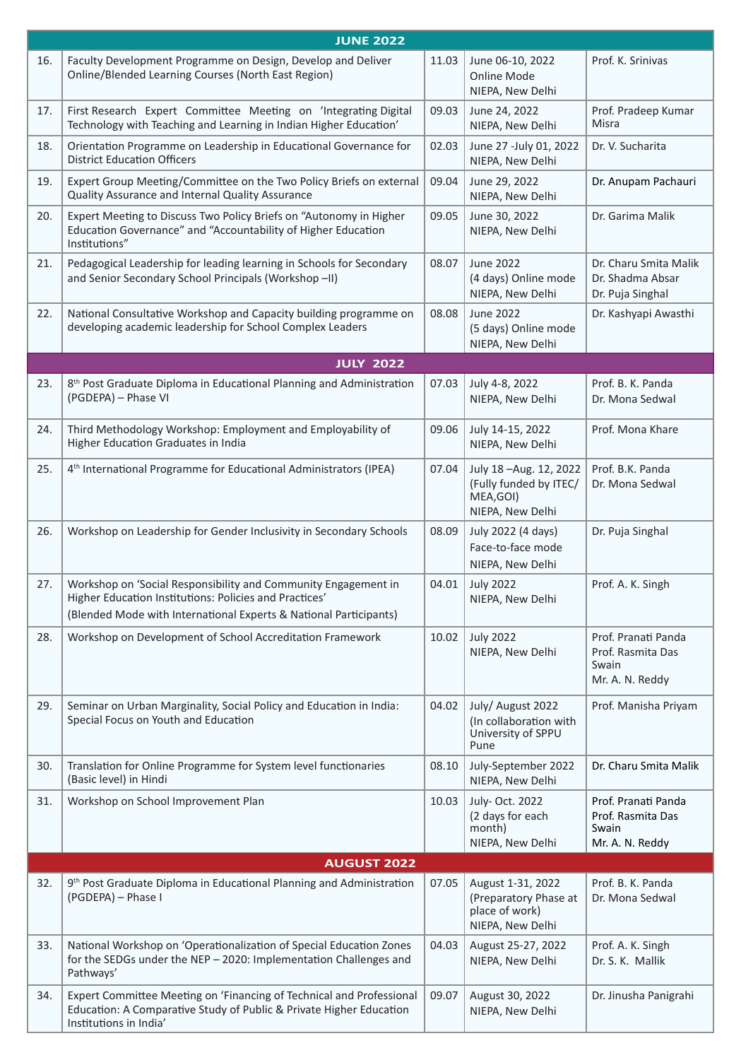| <b>JUNE 2022</b> |                                                                                                                                                                                               |       |                                                                                  |                                                                      |
|------------------|-----------------------------------------------------------------------------------------------------------------------------------------------------------------------------------------------|-------|----------------------------------------------------------------------------------|----------------------------------------------------------------------|
| 16.              | Faculty Development Programme on Design, Develop and Deliver<br>Online/Blended Learning Courses (North East Region)                                                                           | 11.03 | June 06-10, 2022<br><b>Online Mode</b><br>NIEPA, New Delhi                       | Prof. K. Srinivas                                                    |
| 17.              | First Research Expert Committee Meeting on 'Integrating Digital<br>Technology with Teaching and Learning in Indian Higher Education'                                                          | 09.03 | June 24, 2022<br>NIEPA, New Delhi                                                | Prof. Pradeep Kumar<br>Misra                                         |
| 18.              | Orientation Programme on Leadership in Educational Governance for<br><b>District Education Officers</b>                                                                                       | 02.03 | June 27 -July 01, 2022<br>NIEPA, New Delhi                                       | Dr. V. Sucharita                                                     |
| 19.              | Expert Group Meeting/Committee on the Two Policy Briefs on external<br>Quality Assurance and Internal Quality Assurance                                                                       | 09.04 | June 29, 2022<br>NIEPA, New Delhi                                                | Dr. Anupam Pachauri                                                  |
| 20.              | Expert Meeting to Discuss Two Policy Briefs on "Autonomy in Higher<br>Education Governance" and "Accountability of Higher Education<br>Institutions"                                          | 09.05 | June 30, 2022<br>NIEPA, New Delhi                                                | Dr. Garima Malik                                                     |
| 21.              | Pedagogical Leadership for leading learning in Schools for Secondary<br>and Senior Secondary School Principals (Workshop - II)                                                                | 08.07 | <b>June 2022</b><br>(4 days) Online mode<br>NIEPA, New Delhi                     | Dr. Charu Smita Malik<br>Dr. Shadma Absar<br>Dr. Puja Singhal        |
| 22.              | National Consultative Workshop and Capacity building programme on<br>developing academic leadership for School Complex Leaders                                                                | 08.08 | <b>June 2022</b><br>(5 days) Online mode<br>NIEPA, New Delhi                     | Dr. Kashyapi Awasthi                                                 |
|                  | <b>JULY 2022</b>                                                                                                                                                                              |       |                                                                                  |                                                                      |
| 23.              | 8 <sup>th</sup> Post Graduate Diploma in Educational Planning and Administration<br>(PGDEPA) - Phase VI                                                                                       | 07.03 | July 4-8, 2022<br>NIEPA, New Delhi                                               | Prof. B. K. Panda<br>Dr. Mona Sedwal                                 |
| 24.              | Third Methodology Workshop: Employment and Employability of<br>Higher Education Graduates in India                                                                                            | 09.06 | July 14-15, 2022<br>NIEPA, New Delhi                                             | Prof. Mona Khare                                                     |
| 25.              | 4 <sup>th</sup> International Programme for Educational Administrators (IPEA)                                                                                                                 | 07.04 | July 18-Aug. 12, 2022<br>(Fully funded by ITEC/<br>MEA, GOI)<br>NIEPA, New Delhi | Prof. B.K. Panda<br>Dr. Mona Sedwal                                  |
| 26.              | Workshop on Leadership for Gender Inclusivity in Secondary Schools                                                                                                                            | 08.09 | July 2022 (4 days)<br>Face-to-face mode<br>NIEPA, New Delhi                      | Dr. Puja Singhal                                                     |
| 27.              | Workshop on 'Social Responsibility and Community Engagement in<br>Higher Education Institutions: Policies and Practices'<br>(Blended Mode with International Experts & National Participants) | 04.01 | <b>July 2022</b><br>NIEPA, New Delhi                                             | Prof. A. K. Singh                                                    |
| 28.              | Workshop on Development of School Accreditation Framework                                                                                                                                     | 10.02 | <b>July 2022</b><br>NIEPA, New Delhi                                             | Prof. Pranati Panda<br>Prof. Rasmita Das<br>Swain<br>Mr. A. N. Reddy |
| 29.              | Seminar on Urban Marginality, Social Policy and Education in India:<br>Special Focus on Youth and Education                                                                                   | 04.02 | July/ August 2022<br>(In collaboration with<br>University of SPPU<br>Pune        | Prof. Manisha Priyam                                                 |
| 30.              | Translation for Online Programme for System level functionaries<br>(Basic level) in Hindi                                                                                                     | 08.10 | July-September 2022<br>NIEPA, New Delhi                                          | Dr. Charu Smita Malik                                                |
| 31.              | Workshop on School Improvement Plan                                                                                                                                                           | 10.03 | July- Oct. 2022<br>(2 days for each<br>month)<br>NIEPA, New Delhi                | Prof. Pranati Panda<br>Prof. Rasmita Das<br>Swain<br>Mr. A. N. Reddy |
|                  | <b>AUGUST 2022</b>                                                                                                                                                                            |       |                                                                                  |                                                                      |
| 32.              | 9 <sup>th</sup> Post Graduate Diploma in Educational Planning and Administration<br>(PGDEPA) - Phase I                                                                                        | 07.05 | August 1-31, 2022<br>(Preparatory Phase at<br>place of work)<br>NIEPA, New Delhi | Prof. B. K. Panda<br>Dr. Mona Sedwal                                 |
| 33.              | National Workshop on 'Operationalization of Special Education Zones<br>for the SEDGs under the NEP - 2020: Implementation Challenges and<br>Pathways'                                         | 04.03 | August 25-27, 2022<br>NIEPA, New Delhi                                           | Prof. A. K. Singh<br>Dr. S. K. Mallik                                |
| 34.              | Expert Committee Meeting on 'Financing of Technical and Professional<br>Education: A Comparative Study of Public & Private Higher Education<br>Institutions in India'                         | 09.07 | August 30, 2022<br>NIEPA, New Delhi                                              | Dr. Jinusha Panigrahi                                                |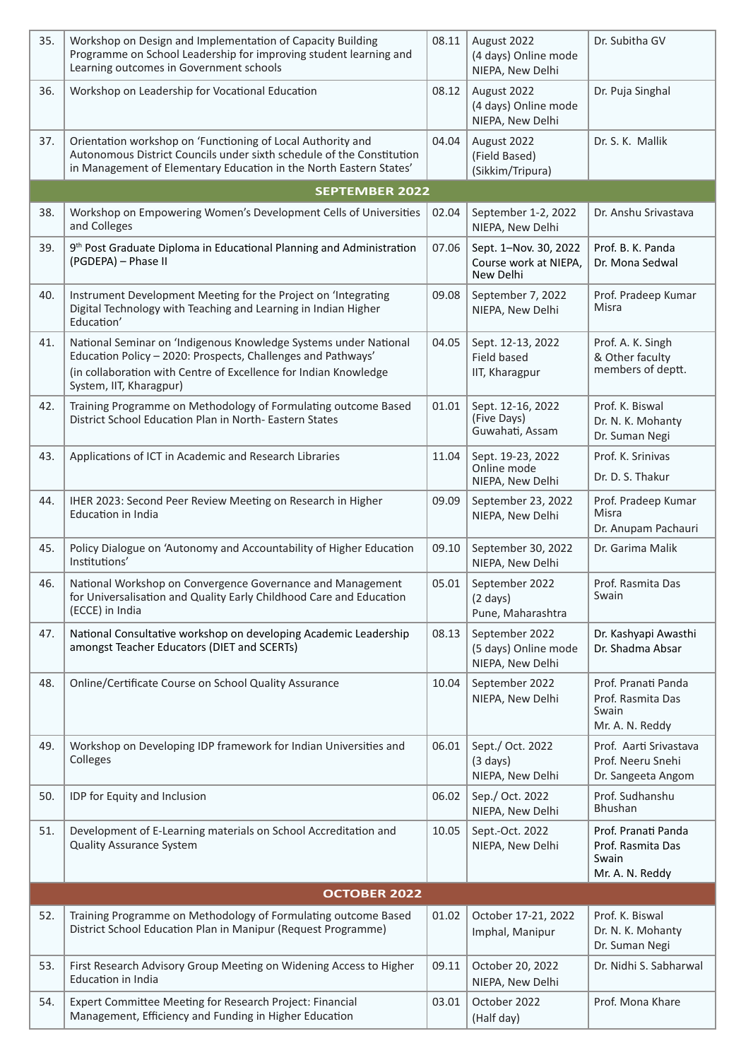| 35. | Workshop on Design and Implementation of Capacity Building<br>Programme on School Leadership for improving student learning and<br>Learning outcomes in Government schools                                                      | 08.11 | August 2022<br>(4 days) Online mode<br>NIEPA, New Delhi     | Dr. Subitha GV                                                       |  |
|-----|---------------------------------------------------------------------------------------------------------------------------------------------------------------------------------------------------------------------------------|-------|-------------------------------------------------------------|----------------------------------------------------------------------|--|
| 36. | Workshop on Leadership for Vocational Education                                                                                                                                                                                 | 08.12 | August 2022<br>(4 days) Online mode<br>NIEPA, New Delhi     | Dr. Puja Singhal                                                     |  |
| 37. | Orientation workshop on 'Functioning of Local Authority and<br>Autonomous District Councils under sixth schedule of the Constitution<br>in Management of Elementary Education in the North Eastern States'                      | 04.04 | August 2022<br>(Field Based)<br>(Sikkim/Tripura)            | Dr. S. K. Mallik                                                     |  |
|     | <b>SEPTEMBER 2022</b>                                                                                                                                                                                                           |       |                                                             |                                                                      |  |
| 38. | Workshop on Empowering Women's Development Cells of Universities<br>and Colleges                                                                                                                                                | 02.04 | September 1-2, 2022<br>NIEPA, New Delhi                     | Dr. Anshu Srivastava                                                 |  |
| 39. | 9 <sup>th</sup> Post Graduate Diploma in Educational Planning and Administration<br>(PGDEPA) - Phase II                                                                                                                         | 07.06 | Sept. 1-Nov. 30, 2022<br>Course work at NIEPA,<br>New Delhi | Prof. B. K. Panda<br>Dr. Mona Sedwal                                 |  |
| 40. | Instrument Development Meeting for the Project on 'Integrating<br>Digital Technology with Teaching and Learning in Indian Higher<br>Education'                                                                                  | 09.08 | September 7, 2022<br>NIEPA, New Delhi                       | Prof. Pradeep Kumar<br>Misra                                         |  |
| 41. | National Seminar on 'Indigenous Knowledge Systems under National<br>Education Policy - 2020: Prospects, Challenges and Pathways'<br>(in collaboration with Centre of Excellence for Indian Knowledge<br>System, IIT, Kharagpur) | 04.05 | Sept. 12-13, 2022<br><b>Field based</b><br>IIT, Kharagpur   | Prof. A. K. Singh<br>& Other faculty<br>members of deptt.            |  |
| 42. | Training Programme on Methodology of Formulating outcome Based<br>District School Education Plan in North-Eastern States                                                                                                        | 01.01 | Sept. 12-16, 2022<br>(Five Days)<br>Guwahati, Assam         | Prof. K. Biswal<br>Dr. N. K. Mohanty<br>Dr. Suman Negi               |  |
| 43. | Applications of ICT in Academic and Research Libraries                                                                                                                                                                          | 11.04 | Sept. 19-23, 2022<br>Online mode<br>NIEPA, New Delhi        | Prof. K. Srinivas<br>Dr. D. S. Thakur                                |  |
| 44. | IHER 2023: Second Peer Review Meeting on Research in Higher<br><b>Education in India</b>                                                                                                                                        | 09.09 | September 23, 2022<br>NIEPA, New Delhi                      | Prof. Pradeep Kumar<br>Misra<br>Dr. Anupam Pachauri                  |  |
| 45. | Policy Dialogue on 'Autonomy and Accountability of Higher Education<br>Institutions'                                                                                                                                            | 09.10 | September 30, 2022<br>NIEPA, New Delhi                      | Dr. Garima Malik                                                     |  |
| 46. | National Workshop on Convergence Governance and Management<br>for Universalisation and Quality Early Childhood Care and Education<br>(ECCE) in India                                                                            | 05.01 | September 2022<br>$(2 \text{ days})$<br>Pune, Maharashtra   | Prof. Rasmita Das<br>Swain                                           |  |
| 47. | National Consultative workshop on developing Academic Leadership<br>amongst Teacher Educators (DIET and SCERTs)                                                                                                                 | 08.13 | September 2022<br>(5 days) Online mode<br>NIEPA, New Delhi  | Dr. Kashyapi Awasthi<br>Dr. Shadma Absar                             |  |
| 48. | Online/Certificate Course on School Quality Assurance                                                                                                                                                                           | 10.04 | September 2022<br>NIEPA, New Delhi                          | Prof. Pranati Panda<br>Prof. Rasmita Das<br>Swain<br>Mr. A. N. Reddy |  |
| 49. | Workshop on Developing IDP framework for Indian Universities and<br>Colleges                                                                                                                                                    | 06.01 | Sept./ Oct. 2022<br>$(3 \text{ days})$<br>NIEPA, New Delhi  | Prof. Aarti Srivastava<br>Prof. Neeru Snehi<br>Dr. Sangeeta Angom    |  |
| 50. | IDP for Equity and Inclusion                                                                                                                                                                                                    | 06.02 | Sep./ Oct. 2022<br>NIEPA, New Delhi                         | Prof. Sudhanshu<br>Bhushan                                           |  |
| 51. | Development of E-Learning materials on School Accreditation and<br><b>Quality Assurance System</b>                                                                                                                              | 10.05 | Sept.-Oct. 2022<br>NIEPA, New Delhi                         | Prof. Pranati Panda<br>Prof. Rasmita Das<br>Swain<br>Mr. A. N. Reddy |  |
|     | <b>OCTOBER 2022</b>                                                                                                                                                                                                             |       |                                                             |                                                                      |  |
| 52. | Training Programme on Methodology of Formulating outcome Based<br>District School Education Plan in Manipur (Request Programme)                                                                                                 | 01.02 | October 17-21, 2022<br>Imphal, Manipur                      | Prof. K. Biswal<br>Dr. N. K. Mohanty<br>Dr. Suman Negi               |  |
| 53. | First Research Advisory Group Meeting on Widening Access to Higher<br><b>Education in India</b>                                                                                                                                 | 09.11 | October 20, 2022<br>NIEPA, New Delhi                        | Dr. Nidhi S. Sabharwal                                               |  |
| 54. | Expert Committee Meeting for Research Project: Financial<br>Management, Efficiency and Funding in Higher Education                                                                                                              | 03.01 | October 2022<br>(Half day)                                  | Prof. Mona Khare                                                     |  |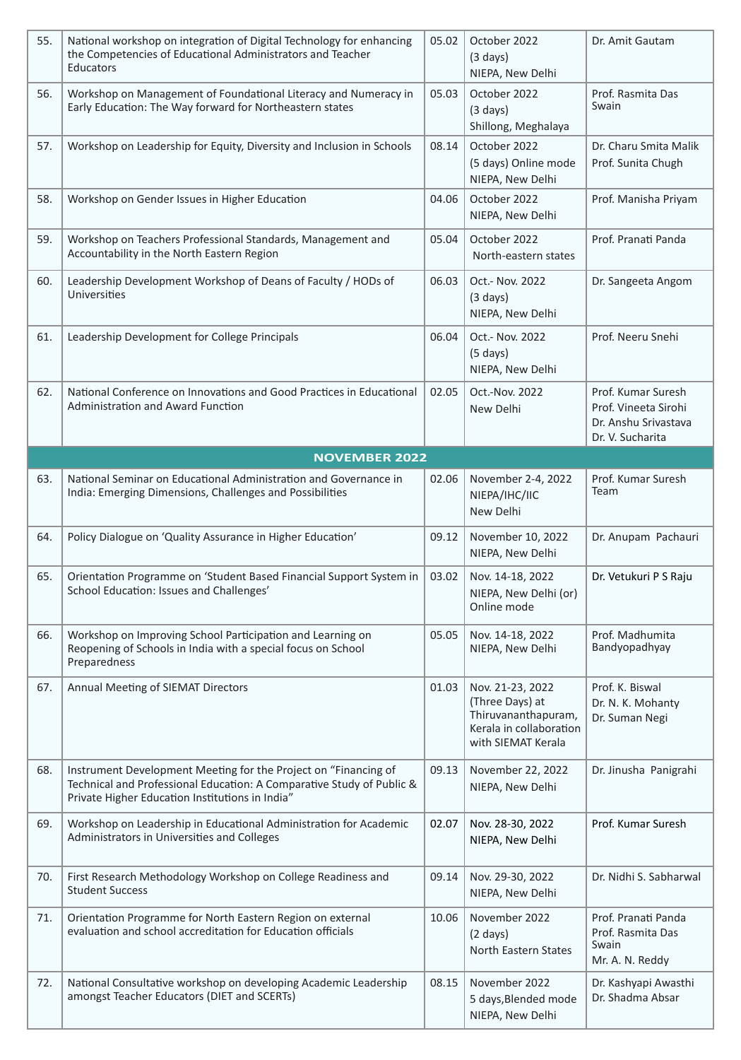| 55. | National workshop on integration of Digital Technology for enhancing<br>the Competencies of Educational Administrators and Teacher<br>Educators                                             | 05.02 | October 2022<br>$(3 \text{ days})$<br>NIEPA, New Delhi                                                      | Dr. Amit Gautam                                                                        |
|-----|---------------------------------------------------------------------------------------------------------------------------------------------------------------------------------------------|-------|-------------------------------------------------------------------------------------------------------------|----------------------------------------------------------------------------------------|
| 56. | Workshop on Management of Foundational Literacy and Numeracy in<br>Early Education: The Way forward for Northeastern states                                                                 | 05.03 | October 2022<br>$(3 \text{ days})$<br>Shillong, Meghalaya                                                   | Prof. Rasmita Das<br>Swain                                                             |
| 57. | Workshop on Leadership for Equity, Diversity and Inclusion in Schools                                                                                                                       | 08.14 | October 2022<br>(5 days) Online mode<br>NIEPA, New Delhi                                                    | Dr. Charu Smita Malik<br>Prof. Sunita Chugh                                            |
| 58. | Workshop on Gender Issues in Higher Education                                                                                                                                               | 04.06 | October 2022<br>NIEPA, New Delhi                                                                            | Prof. Manisha Priyam                                                                   |
| 59. | Workshop on Teachers Professional Standards, Management and<br>Accountability in the North Eastern Region                                                                                   | 05.04 | October 2022<br>North-eastern states                                                                        | Prof. Pranati Panda                                                                    |
| 60. | Leadership Development Workshop of Deans of Faculty / HODs of<br>Universities                                                                                                               | 06.03 | Oct.- Nov. 2022<br>$(3 \text{ days})$<br>NIEPA, New Delhi                                                   | Dr. Sangeeta Angom                                                                     |
| 61. | Leadership Development for College Principals                                                                                                                                               | 06.04 | Oct.- Nov. 2022<br>$(5 \text{ days})$<br>NIEPA, New Delhi                                                   | Prof. Neeru Snehi                                                                      |
| 62. | National Conference on Innovations and Good Practices in Educational<br><b>Administration and Award Function</b>                                                                            | 02.05 | Oct.-Nov. 2022<br>New Delhi                                                                                 | Prof. Kumar Suresh<br>Prof. Vineeta Sirohi<br>Dr. Anshu Srivastava<br>Dr. V. Sucharita |
|     | <b>NOVEMBER 2022</b>                                                                                                                                                                        |       |                                                                                                             |                                                                                        |
| 63. | National Seminar on Educational Administration and Governance in<br>India: Emerging Dimensions, Challenges and Possibilities                                                                | 02.06 | November 2-4, 2022<br>NIEPA/IHC/IIC<br>New Delhi                                                            | Prof. Kumar Suresh<br>Team                                                             |
| 64. | Policy Dialogue on 'Quality Assurance in Higher Education'                                                                                                                                  | 09.12 | November 10, 2022<br>NIEPA, New Delhi                                                                       | Dr. Anupam Pachauri                                                                    |
| 65. | Orientation Programme on 'Student Based Financial Support System in<br>School Education: Issues and Challenges'                                                                             | 03.02 | Nov. 14-18, 2022<br>NIEPA, New Delhi (or)<br>Online mode                                                    | Dr. Vetukuri P S Raju                                                                  |
| 66. | Workshop on Improving School Participation and Learning on<br>Reopening of Schools in India with a special focus on School<br>Preparedness                                                  | 05.05 | Nov. 14-18, 2022<br>NIEPA, New Delhi                                                                        | Prof. Madhumita<br>Bandyopadhyay                                                       |
| 67. | Annual Meeting of SIEMAT Directors                                                                                                                                                          | 01.03 | Nov. 21-23, 2022<br>(Three Days) at<br>Thiruvananthapuram,<br>Kerala in collaboration<br>with SIEMAT Kerala | Prof. K. Biswal<br>Dr. N. K. Mohanty<br>Dr. Suman Negi                                 |
| 68. | Instrument Development Meeting for the Project on "Financing of<br>Technical and Professional Education: A Comparative Study of Public &<br>Private Higher Education Institutions in India" | 09.13 | November 22, 2022<br>NIEPA, New Delhi                                                                       | Dr. Jinusha Panigrahi                                                                  |
| 69. | Workshop on Leadership in Educational Administration for Academic<br>Administrators in Universities and Colleges                                                                            | 02.07 | Nov. 28-30, 2022<br>NIEPA, New Delhi                                                                        | Prof. Kumar Suresh                                                                     |
| 70. | First Research Methodology Workshop on College Readiness and<br><b>Student Success</b>                                                                                                      | 09.14 | Nov. 29-30, 2022<br>NIEPA, New Delhi                                                                        | Dr. Nidhi S. Sabharwal                                                                 |
| 71. | Orientation Programme for North Eastern Region on external<br>evaluation and school accreditation for Education officials                                                                   | 10.06 | November 2022<br>$(2 \text{ days})$<br>North Eastern States                                                 | Prof. Pranati Panda<br>Prof. Rasmita Das<br>Swain<br>Mr. A. N. Reddy                   |
| 72. | National Consultative workshop on developing Academic Leadership<br>amongst Teacher Educators (DIET and SCERTs)                                                                             | 08.15 | November 2022<br>5 days, Blended mode<br>NIEPA, New Delhi                                                   | Dr. Kashyapi Awasthi<br>Dr. Shadma Absar                                               |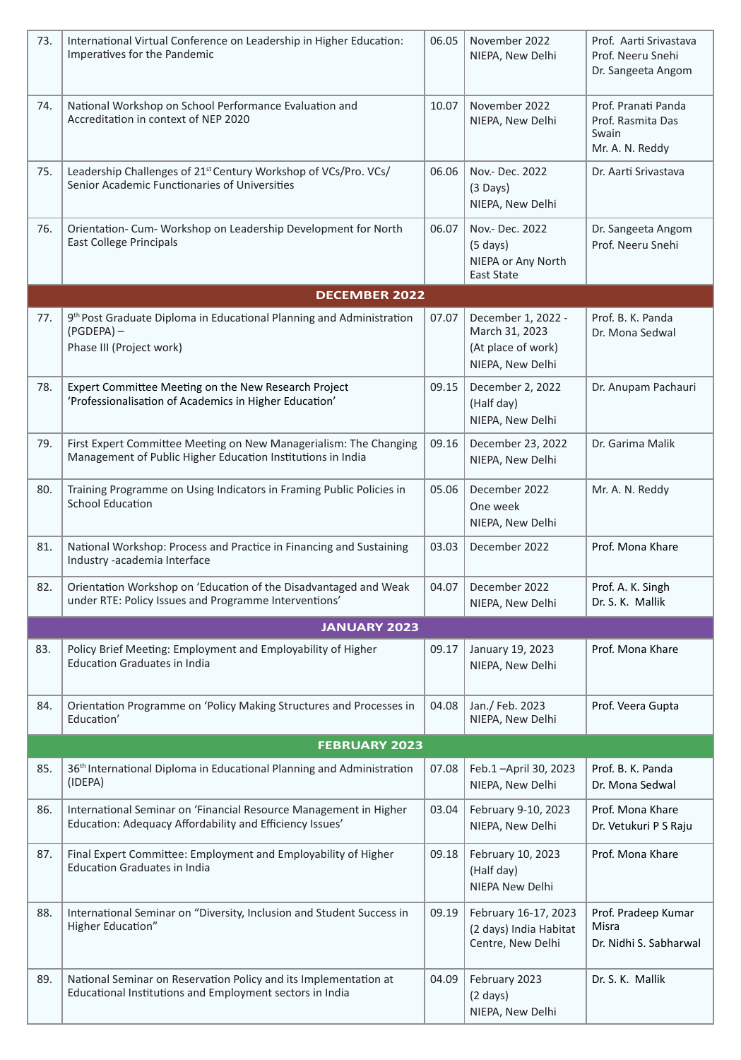| 73.                 | International Virtual Conference on Leadership in Higher Education:<br>Imperatives for the Pandemic                              | 06.05 | November 2022<br>NIEPA, New Delhi                                                | Prof. Aarti Srivastava<br>Prof. Neeru Snehi<br>Dr. Sangeeta Angom    |  |
|---------------------|----------------------------------------------------------------------------------------------------------------------------------|-------|----------------------------------------------------------------------------------|----------------------------------------------------------------------|--|
| 74.                 | National Workshop on School Performance Evaluation and<br>Accreditation in context of NEP 2020                                   | 10.07 | November 2022<br>NIEPA, New Delhi                                                | Prof. Pranati Panda<br>Prof. Rasmita Das<br>Swain<br>Mr. A. N. Reddy |  |
| 75.                 | Leadership Challenges of 21 <sup>st</sup> Century Workshop of VCs/Pro. VCs/<br>Senior Academic Functionaries of Universities     | 06.06 | Nov.- Dec. 2022<br>$(3 \text{ Days})$<br>NIEPA, New Delhi                        | Dr. Aarti Srivastava                                                 |  |
| 76.                 | Orientation- Cum- Workshop on Leadership Development for North<br><b>East College Principals</b>                                 | 06.07 | Nov.- Dec. 2022<br>$(5 \text{ days})$<br>NIEPA or Any North<br><b>East State</b> | Dr. Sangeeta Angom<br>Prof. Neeru Snehi                              |  |
|                     | <b>DECEMBER 2022</b>                                                                                                             |       |                                                                                  |                                                                      |  |
| 77.                 | 9th Post Graduate Diploma in Educational Planning and Administration<br>$(PGDEPA)$ –<br>Phase III (Project work)                 | 07.07 | December 1, 2022 -<br>March 31, 2023<br>(At place of work)<br>NIEPA, New Delhi   | Prof. B. K. Panda<br>Dr. Mona Sedwal                                 |  |
| 78.                 | Expert Committee Meeting on the New Research Project<br>'Professionalisation of Academics in Higher Education'                   | 09.15 | December 2, 2022<br>(Half day)<br>NIEPA, New Delhi                               | Dr. Anupam Pachauri                                                  |  |
| 79.                 | First Expert Committee Meeting on New Managerialism: The Changing<br>Management of Public Higher Education Institutions in India | 09.16 | December 23, 2022<br>NIEPA, New Delhi                                            | Dr. Garima Malik                                                     |  |
| 80.                 | Training Programme on Using Indicators in Framing Public Policies in<br><b>School Education</b>                                  | 05.06 | December 2022<br>One week<br>NIEPA, New Delhi                                    | Mr. A. N. Reddy                                                      |  |
| 81.                 | National Workshop: Process and Practice in Financing and Sustaining<br>Industry -academia Interface                              | 03.03 | December 2022                                                                    | Prof. Mona Khare                                                     |  |
| 82.                 | Orientation Workshop on 'Education of the Disadvantaged and Weak<br>under RTE: Policy Issues and Programme Interventions'        | 04.07 | December 2022<br>NIEPA, New Delhi                                                | Prof. A. K. Singh<br>Dr. S. K. Mallik                                |  |
| <b>JANUARY 2023</b> |                                                                                                                                  |       |                                                                                  |                                                                      |  |
| 83.                 | Policy Brief Meeting: Employment and Employability of Higher<br><b>Education Graduates in India</b>                              | 09.17 | January 19, 2023<br>NIEPA, New Delhi                                             | Prof. Mona Khare                                                     |  |
| 84.                 | Orientation Programme on 'Policy Making Structures and Processes in<br>Education'                                                | 04.08 | Jan./ Feb. 2023<br>NIEPA, New Delhi                                              | Prof. Veera Gupta                                                    |  |
|                     | <b>FEBRUARY 2023</b>                                                                                                             |       |                                                                                  |                                                                      |  |
| 85.                 | 36 <sup>th</sup> International Diploma in Educational Planning and Administration<br>(IDEPA)                                     | 07.08 | Feb.1-April 30, 2023<br>NIEPA, New Delhi                                         | Prof. B. K. Panda<br>Dr. Mona Sedwal                                 |  |
| 86.                 | International Seminar on 'Financial Resource Management in Higher<br>Education: Adequacy Affordability and Efficiency Issues'    | 03.04 | February 9-10, 2023<br>NIEPA, New Delhi                                          | Prof. Mona Khare<br>Dr. Vetukuri P S Raju                            |  |
| 87.                 | Final Expert Committee: Employment and Employability of Higher<br><b>Education Graduates in India</b>                            | 09.18 | February 10, 2023<br>(Half day)<br>NIEPA New Delhi                               | Prof. Mona Khare                                                     |  |
| 88.                 | International Seminar on "Diversity, Inclusion and Student Success in<br>Higher Education"                                       | 09.19 | February 16-17, 2023<br>(2 days) India Habitat<br>Centre, New Delhi              | Prof. Pradeep Kumar<br>Misra<br>Dr. Nidhi S. Sabharwal               |  |
| 89.                 | National Seminar on Reservation Policy and its Implementation at<br>Educational Institutions and Employment sectors in India     | 04.09 | February 2023<br>$(2 \text{ days})$<br>NIEPA, New Delhi                          | Dr. S. K. Mallik                                                     |  |